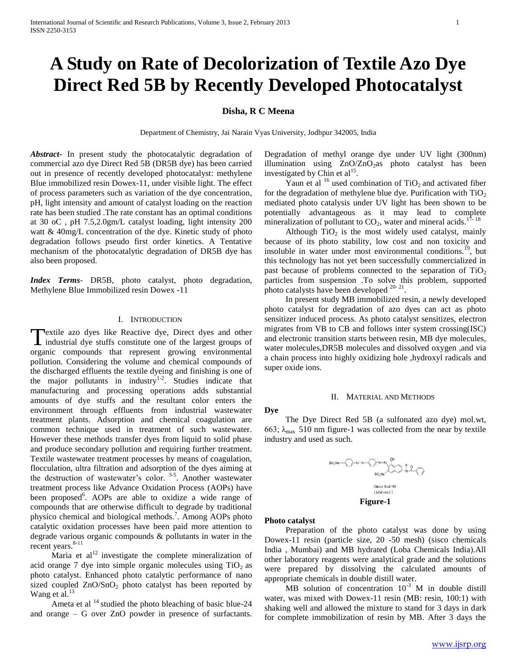# **A Study on Rate of Decolorization of Textile Azo Dye Direct Red 5B by Recently Developed Photocatalyst**

# **Disha, R C Meena**

Department of Chemistry, Jai Narain Vyas University, Jodhpur 342005, India

*Abstract***-** In present study the photocatalytic degradation of commercial azo dye Direct Red 5B (DR5B dye) has been carried out in presence of recently developed photocatalyst: methylene Blue immobilized resin Dowex-11, under visible light. The effect of process parameters such as variation of the dye concentration, pH, light intensity and amount of catalyst loading on the reaction rate has been studied .The rate constant has an optimal conditions at 30 oC , pH 7.5,2.0gm/L catalyst loading, light intensity 200 watt & 40mg/L concentration of the dye. Kinetic study of photo degradation follows pseudo first order kinetics. A Tentative mechanism of the photocatalytic degradation of DR5B dye has also been proposed.

*Index Terms*- DR5B, photo catalyst, photo degradation, Methylene Blue Immobilized resin Dowex -11

# I. INTRODUCTION

**T**extile azo dyes like Reactive dye, Direct dyes and other Textile azo dyes like Reactive dye, Direct dyes and other industrial dye stuffs constitute one of the largest groups of organic compounds that represent growing environmental pollution. Considering the volume and chemical compounds of the discharged effluents the textile dyeing and finishing is one of the major pollutants in industry<sup>1-2</sup>. Studies indicate that manufacturing and processing operations adds substantial amounts of dye stuffs and the resultant color enters the environment through effluents from industrial wastewater treatment plants. Adsorption and chemical coagulation are common technique used in treatment of such wastewater. However these methods transfer dyes from liquid to solid phase and produce secondary pollution and requiring further treatment. Textile wastewater treatment processes by means of coagulation, flocculation, ultra filtration and adsorption of the dyes aiming at the destruction of wastewater's color.<sup>3-5</sup>. Another wastewater treatment process like Advance Oxidation Process (AOPs) have been proposed<sup>6</sup>. AOPs are able to oxidize a wide range of compounds that are otherwise difficult to degrade by traditional physico chemical and biological methods.<sup>7</sup> . Among AOPs photo catalytic oxidation processes have been paid more attention to degrade various organic compounds & pollutants in water in the recent years.<sup>8-11</sup>

Maria et  $al<sup>12</sup>$  investigate the complete mineralization of acid orange 7 dye into simple organic molecules using  $TiO<sub>2</sub>$  as photo catalyst. Enhanced photo catalytic performance of nano sized coupled  $ZnO/SnO<sub>2</sub>$  photo catalyst has been reported by Wang et al. $^{13}$ 

Ameta et al  $14$  studied the photo bleaching of basic blue-24 and orange – G over ZnO powder in presence of surfactants. Degradation of methyl orange dye under UV light (300nm) illumination using  $ZnO/ZnO_2$ as photo catalyst has been investigated by Chin et al<sup>15</sup>.

Yaun et al  $16$  used combination of TiO<sub>2</sub> and activated fiber for the degradation of methylene blue dye. Purification with  $TiO<sub>2</sub>$ mediated photo catalysis under UV light has been shown to be potentially advantageous as it may lead to complete mineralization of pollutant to  $CO<sub>2</sub>$ , water and mineral acids.<sup>17-18</sup>

Although  $TiO<sub>2</sub>$  is the most widely used catalyst, mainly because of its photo stability, low cost and non toxicity and insoluble in water under most environmental conditions.<sup>19</sup>, but this technology has not yet been successfully commercialized in past because of problems connected to the separation of  $TiO<sub>2</sub>$ particles from suspension .To solve this problem, supported photo catalysts have been developed  $20-21$ .

 In present study MB immobilized resin, a newly developed photo catalyst for degradation of azo dyes can act as photo sensitizer induced process. As photo catalyst sensitizes, electron migrates from VB to CB and follows inter system crossing(ISC) and electronic transition starts between resin, MB dye molecules, water molecules,DR5B molecules and dissolved oxygen ,and via a chain process into highly oxidizing hole ,hydroxyl radicals and super oxide ions.

## II. MATERIAL AND METHODS

 The Dye Direct Red 5B (a sulfonated azo dye) mol.wt, 663;  $\lambda_{\text{max}}$  510 nm figure-1 was collected from the near by textile industry and used as such.



#### **Photo catalyst**

**Dye**

 Preparation of the photo catalyst was done by using Dowex-11 resin (particle size, 20 -50 mesh) (sisco chemicals India , Mumbai) and MB hydrated (Loba Chemicals India).All other laboratory reagents were analytical grade and the solutions were prepared by dissolving the calculated amounts of appropriate chemicals in double distill water.

MB solution of concentration  $10^{-3}$  M in double distill water, was mixed with Dowex-11 resin (MB: resin, 100:1) with shaking well and allowed the mixture to stand for 3 days in dark for complete immobilization of resin by MB. After 3 days the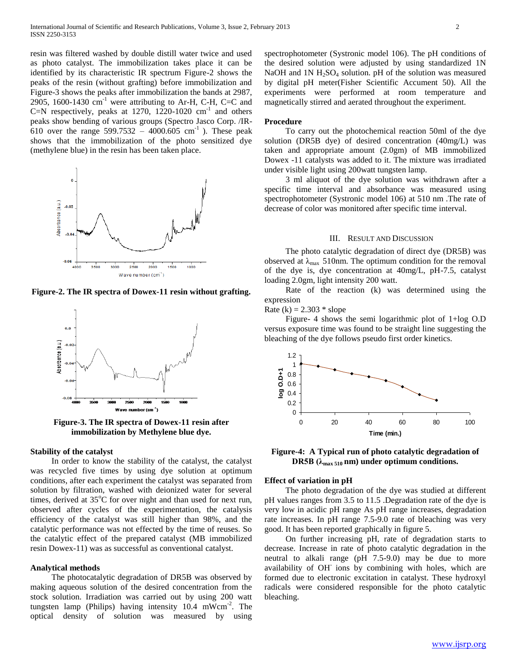resin was filtered washed by double distill water twice and used as photo catalyst. The immobilization takes place it can be identified by its characteristic IR spectrum Figure-2 shows the peaks of the resin (without grafting) before immobilization and Figure-3 shows the peaks after immobilization the bands at 2987, 2905, 1600-1430  $\text{cm}^{-1}$  were attributing to Ar-H, C-H, C=C and C=N respectively, peaks at 1270, 1220-1020  $\text{cm}^{-1}$  and others peaks show bending of various groups (Spectro Jasco Corp. /IR-610 over the range 599.7532 – 4000.605 cm<sup>-1</sup>). These peak shows that the immobilization of the photo sensitized dye (methylene blue) in the resin has been taken place.



**Figure-2. The IR spectra of Dowex-11 resin without grafting.**



**Figure-3. The IR spectra of Dowex-11 resin after immobilization by Methylene blue dye.**

# **Stability of the catalyst**

 In order to know the stability of the catalyst, the catalyst was recycled five times by using dye solution at optimum conditions, after each experiment the catalyst was separated from solution by filtration, washed with deionized water for several times, derived at  $35^{\circ}$ C for over night and than used for next run, observed after cycles of the experimentation, the catalysis efficiency of the catalyst was still higher than 98%, and the catalytic performance was not effected by the time of reuses. So the catalytic effect of the prepared catalyst (MB immobilized resin Dowex-11) was as successful as conventional catalyst.

# **Analytical methods**

 The photocatalytic degradation of DR5B was observed by making aqueous solution of the desired concentration from the stock solution. Irradiation was carried out by using 200 watt tungsten lamp (Philips) having intensity  $10.4 \, \text{mWcm}^{-2}$ . The optical density of solution was measured by using

spectrophotometer (Systronic model 106). The pH conditions of the desired solution were adjusted by using standardized 1N NaOH and 1N  $H_2SO_4$  solution. pH of the solution was measured by digital pH meter(Fisher Scientific Accument 50). All the experiments were performed at room temperature and magnetically stirred and aerated throughout the experiment.

## **Procedure**

 To carry out the photochemical reaction 50ml of the dye solution (DR5B dye) of desired concentration (40mg/L) was taken and appropriate amount (2.0gm) of MB immobilized Dowex -11 catalysts was added to it. The mixture was irradiated under visible light using 200watt tungsten lamp.

 3 ml aliquot of the dye solution was withdrawn after a specific time interval and absorbance was measured using spectrophotometer (Systronic model 106) at 510 nm .The rate of decrease of color was monitored after specific time interval.

#### III. RESULT AND DISCUSSION

 The photo catalytic degradation of direct dye (DR5B) was observed at  $\lambda_{\text{max}}$  510nm. The optimum condition for the removal of the dye is, dye concentration at 40mg/L, pH-7.5, catalyst loading 2.0gm, light intensity 200 watt.

 Rate of the reaction (k) was determined using the expression

Rate (k) =  $2.303 * slope$ 

 Figure- 4 shows the semi logarithmic plot of 1+log O.D versus exposure time was found to be straight line suggesting the bleaching of the dye follows pseudo first order kinetics.



**Figure-4: A Typical run of photo catalytic degradation of DR5B** ( $\lambda_{\text{max 510}}$  **nm)** under optimum conditions.

#### **Effect of variation in pH**

 The photo degradation of the dye was studied at different pH values ranges from 3.5 to 11.5 .Degradation rate of the dye is very low in acidic pH range As pH range increases, degradation rate increases. In pH range 7.5-9.0 rate of bleaching was very good. It has been reported graphically in figure 5.

 On further increasing pH, rate of degradation starts to decrease. Increase in rate of photo catalytic degradation in the neutral to alkali range (pH 7.5-9.0) may be due to more availability of OH ions by combining with holes, which are formed due to electronic excitation in catalyst. These hydroxyl radicals were considered responsible for the photo catalytic bleaching.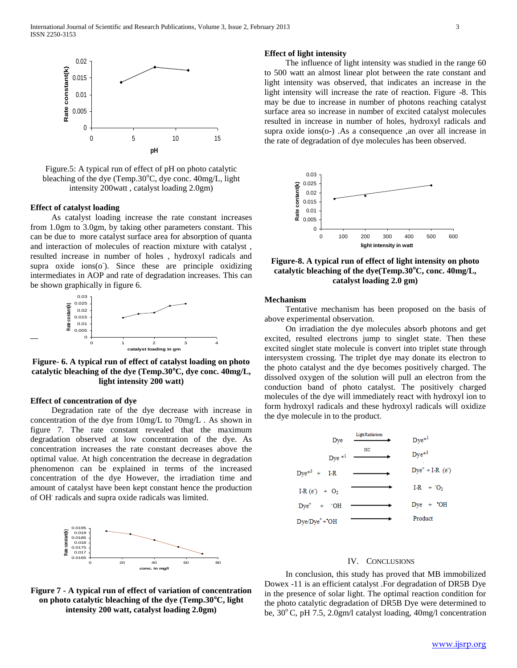

Figure.5: A typical run of effect of pH on photo catalytic bleaching of the dye (Temp.30 $^{\circ}$ C, dye conc. 40mg/L, light intensity 200watt , catalyst loading 2.0gm)

# **Effect of catalyst loading**

 As catalyst loading increase the rate constant increases from 1.0gm to 3.0gm, by taking other parameters constant. This can be due to more catalyst surface area for absorption of quanta and interaction of molecules of reaction mixture with catalyst , resulted increase in number of holes , hydroxyl radicals and supra  $oxide$  ions $(o)$ . Since these are principle oxidizing intermediates in AOP and rate of degradation increases. This can be shown graphically in figure 6.



**Figure- 6. A typical run of effect of catalyst loading on photo catalytic bleaching of the dye (Temp.30<sup>o</sup>C, dye conc. 40mg/L, light intensity 200 watt)**

### **Effect of concentration of dye**

 Degradation rate of the dye decrease with increase in concentration of the dye from 10mg/L to 70mg/L . As shown in figure 7. The rate constant revealed that the maximum degradation observed at low concentration of the dye. As concentration increases the rate constant decreases above the optimal value. At high concentration the decrease in degradation phenomenon can be explained in terms of the increased concentration of the dye However, the irradiation time and amount of catalyst have been kept constant hence the production of OH. radicals and supra oxide radicals was limited.



**Figure 7 - A typical run of effect of variation of concentration on photo catalytic bleaching of the dye (Temp.30<sup>o</sup>C, light intensity 200 watt, catalyst loading 2.0gm)**

# **Effect of light intensity**

 The influence of light intensity was studied in the range 60 to 500 watt an almost linear plot between the rate constant and light intensity was observed, that indicates an increase in the light intensity will increase the rate of reaction. Figure -8. This may be due to increase in number of photons reaching catalyst surface area so increase in number of excited catalyst molecules resulted in increase in number of holes, hydroxyl radicals and supra oxide ions(o-) .As a consequence ,an over all increase in the rate of degradation of dye molecules has been observed.



**Figure-8. A typical run of effect of light intensity on photo catalytic bleaching of the dye(Temp.30<sup>o</sup>C, conc. 40mg/L, catalyst loading 2.0 gm)**

### **Mechanism**

 Tentative mechanism has been proposed on the basis of above experimental observation.

 On irradiation the dye molecules absorb photons and get excited, resulted electrons jump to singlet state. Then these excited singlet state molecule is convert into triplet state through intersystem crossing. The triplet dye may donate its electron to the photo catalyst and the dye becomes positively charged. The dissolved oxygen of the solution will pull an electron from the conduction band of photo catalyst. The positively charged molecules of the dye will immediately react with hydroxyl ion to form hydroxyl radicals and these hydroxyl radicals will oxidize the dye molecule in to the product.



## IV. CONCLUSIONS

 In conclusion, this study has proved that MB immobilized Dowex -11 is an efficient catalyst .For degradation of DR5B Dye in the presence of solar light. The optimal reaction condition for the photo catalytic degradation of DR5B Dye were determined to be,  $30^{\circ}$  C, pH 7.5, 2.0gm/l catalyst loading, 40mg/l concentration